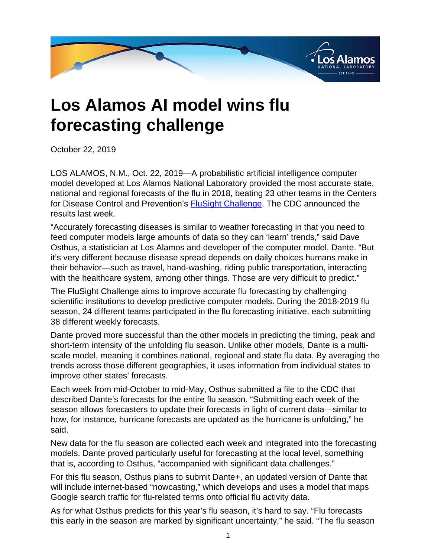

## **Los Alamos AI model wins flu forecasting challenge**

October 22, 2019

LOS ALAMOS, N.M., Oct. 22, 2019—A probabilistic artificial intelligence computer model developed at Los Alamos National Laboratory provided the most accurate state, national and regional forecasts of the flu in 2018, beating 23 other teams in the Centers for Disease Control and Prevention's [FluSight Challenge](
					https://www.cdc.gov/flu/weekly/flusight/index.html). The CDC announced the results last week.

"Accurately forecasting diseases is similar to weather forecasting in that you need to feed computer models large amounts of data so they can 'learn' trends," said Dave Osthus, a statistician at Los Alamos and developer of the computer model, Dante. "But it's very different because disease spread depends on daily choices humans make in their behavior—such as travel, hand-washing, riding public transportation, interacting with the healthcare system, among other things. Those are very difficult to predict."

The FluSight Challenge aims to improve accurate flu forecasting by challenging scientific institutions to develop predictive computer models. During the 2018-2019 flu season, 24 different teams participated in the flu forecasting initiative, each submitting 38 different weekly forecasts.

Dante proved more successful than the other models in predicting the timing, peak and short-term intensity of the unfolding flu season. Unlike other models, Dante is a multiscale model, meaning it combines national, regional and state flu data. By averaging the trends across those different geographies, it uses information from individual states to improve other states' forecasts.

Each week from mid-October to mid-May, Osthus submitted a file to the CDC that described Dante's forecasts for the entire flu season. "Submitting each week of the season allows forecasters to update their forecasts in light of current data—similar to how, for instance, hurricane forecasts are updated as the hurricane is unfolding," he said.

New data for the flu season are collected each week and integrated into the forecasting models. Dante proved particularly useful for forecasting at the local level, something that is, according to Osthus, "accompanied with significant data challenges."

For this flu season, Osthus plans to submit Dante+, an updated version of Dante that will include internet-based "nowcasting," which develops and uses a model that maps Google search traffic for flu-related terms onto official flu activity data.

As for what Osthus predicts for this year's flu season, it's hard to say. "Flu forecasts this early in the season are marked by significant uncertainty," he said. "The flu season